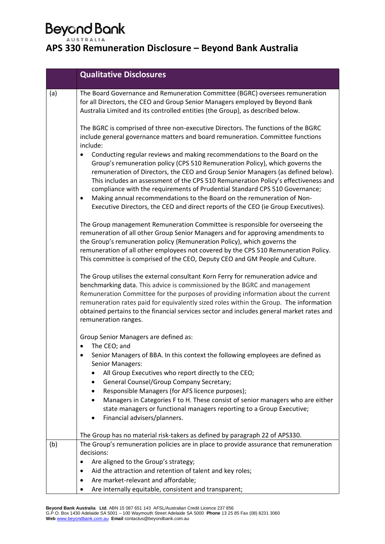|     | <b>Qualitative Disclosures</b>                                                                                                                                                                                                                                                                                                                                                                                                                                                                                                                                                                 |
|-----|------------------------------------------------------------------------------------------------------------------------------------------------------------------------------------------------------------------------------------------------------------------------------------------------------------------------------------------------------------------------------------------------------------------------------------------------------------------------------------------------------------------------------------------------------------------------------------------------|
| (a) | The Board Governance and Remuneration Committee (BGRC) oversees remuneration<br>for all Directors, the CEO and Group Senior Managers employed by Beyond Bank<br>Australia Limited and its controlled entities (the Group), as described below.                                                                                                                                                                                                                                                                                                                                                 |
|     | The BGRC is comprised of three non-executive Directors. The functions of the BGRC<br>include general governance matters and board remuneration. Committee functions<br>include:                                                                                                                                                                                                                                                                                                                                                                                                                |
|     | Conducting regular reviews and making recommendations to the Board on the<br>Group's remuneration policy (CPS 510 Remuneration Policy), which governs the<br>remuneration of Directors, the CEO and Group Senior Managers (as defined below).<br>This includes an assessment of the CPS 510 Remuneration Policy's effectiveness and<br>compliance with the requirements of Prudential Standard CPS 510 Governance;<br>Making annual recommendations to the Board on the remuneration of Non-<br>$\bullet$<br>Executive Directors, the CEO and direct reports of the CEO (ie Group Executives). |
|     | The Group management Remuneration Committee is responsible for overseeing the<br>remuneration of all other Group Senior Managers and for approving amendments to<br>the Group's remuneration policy (Remuneration Policy), which governs the<br>remuneration of all other employees not covered by the CPS 510 Remuneration Policy.<br>This committee is comprised of the CEO, Deputy CEO and GM People and Culture.                                                                                                                                                                           |
|     | The Group utilises the external consultant Korn Ferry for remuneration advice and<br>benchmarking data. This advice is commissioned by the BGRC and management<br>Remuneration Committee for the purposes of providing information about the current<br>remuneration rates paid for equivalently sized roles within the Group. The information<br>obtained pertains to the financial services sector and includes general market rates and<br>remuneration ranges.                                                                                                                             |
|     | Group Senior Managers are defined as:                                                                                                                                                                                                                                                                                                                                                                                                                                                                                                                                                          |
|     | The CEO; and<br>Senior Managers of BBA. In this context the following employees are defined as<br><b>Senior Managers:</b>                                                                                                                                                                                                                                                                                                                                                                                                                                                                      |
|     | All Group Executives who report directly to the CEO;<br>General Counsel/Group Company Secretary;<br>٠                                                                                                                                                                                                                                                                                                                                                                                                                                                                                          |
|     | Responsible Managers (for AFS licence purposes);<br>٠                                                                                                                                                                                                                                                                                                                                                                                                                                                                                                                                          |
|     | Managers in Categories F to H. These consist of senior managers who are either<br>$\bullet$<br>state managers or functional managers reporting to a Group Executive;<br>Financial advisers/planners.                                                                                                                                                                                                                                                                                                                                                                                           |
|     | The Group has no material risk-takers as defined by paragraph 22 of APS330.                                                                                                                                                                                                                                                                                                                                                                                                                                                                                                                    |
| (b) | The Group's remuneration policies are in place to provide assurance that remuneration<br>decisions:                                                                                                                                                                                                                                                                                                                                                                                                                                                                                            |
|     | Are aligned to the Group's strategy;                                                                                                                                                                                                                                                                                                                                                                                                                                                                                                                                                           |
|     | Aid the attraction and retention of talent and key roles;                                                                                                                                                                                                                                                                                                                                                                                                                                                                                                                                      |
|     | Are market-relevant and affordable;<br>Are internally equitable, consistent and transparent;<br>٠                                                                                                                                                                                                                                                                                                                                                                                                                                                                                              |
|     |                                                                                                                                                                                                                                                                                                                                                                                                                                                                                                                                                                                                |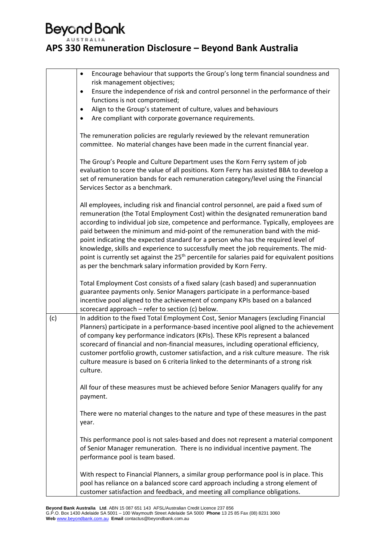|     | Encourage behaviour that supports the Group's long term financial soundness and<br>$\bullet$<br>risk management objectives;                                                                                                                                                                                                                                                                                                                                                                                                                                                                                                                                                                                        |  |
|-----|--------------------------------------------------------------------------------------------------------------------------------------------------------------------------------------------------------------------------------------------------------------------------------------------------------------------------------------------------------------------------------------------------------------------------------------------------------------------------------------------------------------------------------------------------------------------------------------------------------------------------------------------------------------------------------------------------------------------|--|
|     | Ensure the independence of risk and control personnel in the performance of their<br>٠                                                                                                                                                                                                                                                                                                                                                                                                                                                                                                                                                                                                                             |  |
|     | functions is not compromised;                                                                                                                                                                                                                                                                                                                                                                                                                                                                                                                                                                                                                                                                                      |  |
|     | Align to the Group's statement of culture, values and behaviours<br>٠                                                                                                                                                                                                                                                                                                                                                                                                                                                                                                                                                                                                                                              |  |
|     | Are compliant with corporate governance requirements.                                                                                                                                                                                                                                                                                                                                                                                                                                                                                                                                                                                                                                                              |  |
|     | The remuneration policies are regularly reviewed by the relevant remuneration<br>committee. No material changes have been made in the current financial year.                                                                                                                                                                                                                                                                                                                                                                                                                                                                                                                                                      |  |
|     | The Group's People and Culture Department uses the Korn Ferry system of job<br>evaluation to score the value of all positions. Korn Ferry has assisted BBA to develop a<br>set of remuneration bands for each remuneration category/level using the Financial<br>Services Sector as a benchmark.                                                                                                                                                                                                                                                                                                                                                                                                                   |  |
|     | All employees, including risk and financial control personnel, are paid a fixed sum of<br>remuneration (the Total Employment Cost) within the designated remuneration band<br>according to individual job size, competence and performance. Typically, employees are<br>paid between the minimum and mid-point of the remuneration band with the mid-<br>point indicating the expected standard for a person who has the required level of<br>knowledge, skills and experience to successfully meet the job requirements. The mid-<br>point is currently set against the 25 <sup>th</sup> percentile for salaries paid for equivalent positions<br>as per the benchmark salary information provided by Korn Ferry. |  |
|     | Total Employment Cost consists of a fixed salary (cash based) and superannuation<br>guarantee payments only. Senior Managers participate in a performance-based<br>incentive pool aligned to the achievement of company KPIs based on a balanced<br>scorecard approach - refer to section (c) below.                                                                                                                                                                                                                                                                                                                                                                                                               |  |
| (c) | In addition to the fixed Total Employment Cost, Senior Managers (excluding Financial<br>Planners) participate in a performance-based incentive pool aligned to the achievement<br>of company key performance indicators (KPIs). These KPIs represent a balanced<br>scorecard of financial and non-financial measures, including operational efficiency,<br>customer portfolio growth, customer satisfaction, and a risk culture measure. The risk<br>culture measure is based on 6 criteria linked to the determinants of a strong risk<br>culture.                                                                                                                                                                |  |
|     | All four of these measures must be achieved before Senior Managers qualify for any<br>payment.                                                                                                                                                                                                                                                                                                                                                                                                                                                                                                                                                                                                                     |  |
|     | There were no material changes to the nature and type of these measures in the past<br>year.                                                                                                                                                                                                                                                                                                                                                                                                                                                                                                                                                                                                                       |  |
|     | This performance pool is not sales-based and does not represent a material component<br>of Senior Manager remuneration. There is no individual incentive payment. The<br>performance pool is team based.                                                                                                                                                                                                                                                                                                                                                                                                                                                                                                           |  |
|     | With respect to Financial Planners, a similar group performance pool is in place. This<br>pool has reliance on a balanced score card approach including a strong element of<br>customer satisfaction and feedback, and meeting all compliance obligations.                                                                                                                                                                                                                                                                                                                                                                                                                                                         |  |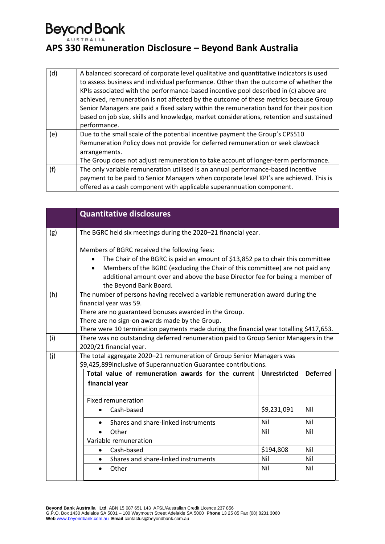| (d) | A balanced scorecard of corporate level qualitative and quantitative indicators is used<br>to assess business and individual performance. Other than the outcome of whether the<br>KPIs associated with the performance-based incentive pool described in (c) above are<br>achieved, remuneration is not affected by the outcome of these metrics because Group<br>Senior Managers are paid a fixed salary within the remuneration band for their position<br>based on job size, skills and knowledge, market considerations, retention and sustained<br>performance. |
|-----|-----------------------------------------------------------------------------------------------------------------------------------------------------------------------------------------------------------------------------------------------------------------------------------------------------------------------------------------------------------------------------------------------------------------------------------------------------------------------------------------------------------------------------------------------------------------------|
| (e) | Due to the small scale of the potential incentive payment the Group's CPS510<br>Remuneration Policy does not provide for deferred remuneration or seek clawback                                                                                                                                                                                                                                                                                                                                                                                                       |
|     | arrangements.                                                                                                                                                                                                                                                                                                                                                                                                                                                                                                                                                         |
|     | The Group does not adjust remuneration to take account of longer-term performance.                                                                                                                                                                                                                                                                                                                                                                                                                                                                                    |
| (f) | The only variable remuneration utilised is an annual performance-based incentive                                                                                                                                                                                                                                                                                                                                                                                                                                                                                      |
|     | payment to be paid to Senior Managers when corporate level KPI's are achieved. This is                                                                                                                                                                                                                                                                                                                                                                                                                                                                                |
|     | offered as a cash component with applicable superannuation component.                                                                                                                                                                                                                                                                                                                                                                                                                                                                                                 |

|     | <b>Quantitative disclosures</b>                                                                                                                                                                                                                                                       |                     |                 |
|-----|---------------------------------------------------------------------------------------------------------------------------------------------------------------------------------------------------------------------------------------------------------------------------------------|---------------------|-----------------|
| (g) | The BGRC held six meetings during the 2020-21 financial year.                                                                                                                                                                                                                         |                     |                 |
|     | Members of BGRC received the following fees:                                                                                                                                                                                                                                          |                     |                 |
|     | The Chair of the BGRC is paid an amount of \$13,852 pa to chair this committee<br>Members of the BGRC (excluding the Chair of this committee) are not paid any<br>$\bullet$<br>additional amount over and above the base Director fee for being a member of<br>the Beyond Bank Board. |                     |                 |
| (h) | The number of persons having received a variable remuneration award during the                                                                                                                                                                                                        |                     |                 |
|     | financial year was 59.                                                                                                                                                                                                                                                                |                     |                 |
|     | There are no guaranteed bonuses awarded in the Group.<br>There are no sign-on awards made by the Group.                                                                                                                                                                               |                     |                 |
|     | There were 10 termination payments made during the financial year totalling \$417,653.                                                                                                                                                                                                |                     |                 |
| (i) | There was no outstanding deferred renumeration paid to Group Senior Managers in the                                                                                                                                                                                                   |                     |                 |
|     | 2020/21 financial year.                                                                                                                                                                                                                                                               |                     |                 |
| (j) | The total aggregate 2020-21 remuneration of Group Senior Managers was                                                                                                                                                                                                                 |                     |                 |
|     | \$9,425,899 inclusive of Superannuation Guarantee contributions.                                                                                                                                                                                                                      |                     |                 |
|     | Total value of remuneration awards for the current                                                                                                                                                                                                                                    | <b>Unrestricted</b> | <b>Deferred</b> |
|     | financial year                                                                                                                                                                                                                                                                        |                     |                 |
|     | <b>Fixed remuneration</b>                                                                                                                                                                                                                                                             |                     |                 |
|     | Cash-based<br>$\bullet$                                                                                                                                                                                                                                                               | \$9,231,091         | Nil             |
|     | Shares and share-linked instruments                                                                                                                                                                                                                                                   | Nil                 | Nil             |
|     | Other<br>$\bullet$                                                                                                                                                                                                                                                                    | Nil                 | Nil             |
|     | Variable remuneration                                                                                                                                                                                                                                                                 |                     |                 |
|     | Cash-based<br>$\bullet$                                                                                                                                                                                                                                                               | \$194,808           | Nil             |
|     | Shares and share-linked instruments                                                                                                                                                                                                                                                   | Nil                 | Nil             |
|     | Other                                                                                                                                                                                                                                                                                 | Nil                 | Nil             |